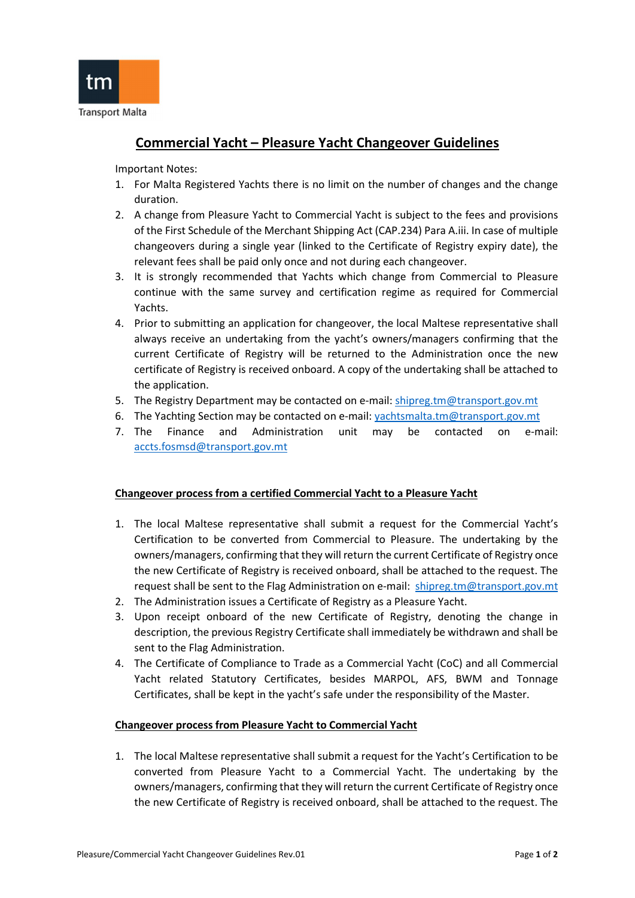

## Commercial Yacht – Pleasure Yacht Changeover Guidelines

Important Notes:

- 1. For Malta Registered Yachts there is no limit on the number of changes and the change duration.
- 2. A change from Pleasure Yacht to Commercial Yacht is subject to the fees and provisions of the First Schedule of the Merchant Shipping Act (CAP.234) Para A.iii. In case of multiple changeovers during a single year (linked to the Certificate of Registry expiry date), the relevant fees shall be paid only once and not during each changeover.
- 3. It is strongly recommended that Yachts which change from Commercial to Pleasure continue with the same survey and certification regime as required for Commercial Yachts.
- 4. Prior to submitting an application for changeover, the local Maltese representative shall always receive an undertaking from the yacht's owners/managers confirming that the current Certificate of Registry will be returned to the Administration once the new certificate of Registry is received onboard. A copy of the undertaking shall be attached to the application.
- 5. The Registry Department may be contacted on e-mail: shipreg.tm@transport.gov.mt
- 6. The Yachting Section may be contacted on e-mail: yachtsmalta.tm@transport.gov.mt
- 7. The Finance and Administration unit may be contacted on e-mail: accts.fosmsd@transport.gov.mt

## Changeover process from a certified Commercial Yacht to a Pleasure Yacht

- 1. The local Maltese representative shall submit a request for the Commercial Yacht's Certification to be converted from Commercial to Pleasure. The undertaking by the owners/managers, confirming that they will return the current Certificate of Registry once the new Certificate of Registry is received onboard, shall be attached to the request. The request shall be sent to the Flag Administration on e-mail: shipreg.tm@transport.gov.mt
- 2. The Administration issues a Certificate of Registry as a Pleasure Yacht.
- 3. Upon receipt onboard of the new Certificate of Registry, denoting the change in description, the previous Registry Certificate shall immediately be withdrawn and shall be sent to the Flag Administration.
- 4. The Certificate of Compliance to Trade as a Commercial Yacht (CoC) and all Commercial Yacht related Statutory Certificates, besides MARPOL, AFS, BWM and Tonnage Certificates, shall be kept in the yacht's safe under the responsibility of the Master.

## Changeover process from Pleasure Yacht to Commercial Yacht

1. The local Maltese representative shall submit a request for the Yacht's Certification to be converted from Pleasure Yacht to a Commercial Yacht. The undertaking by the owners/managers, confirming that they will return the current Certificate of Registry once the new Certificate of Registry is received onboard, shall be attached to the request. The